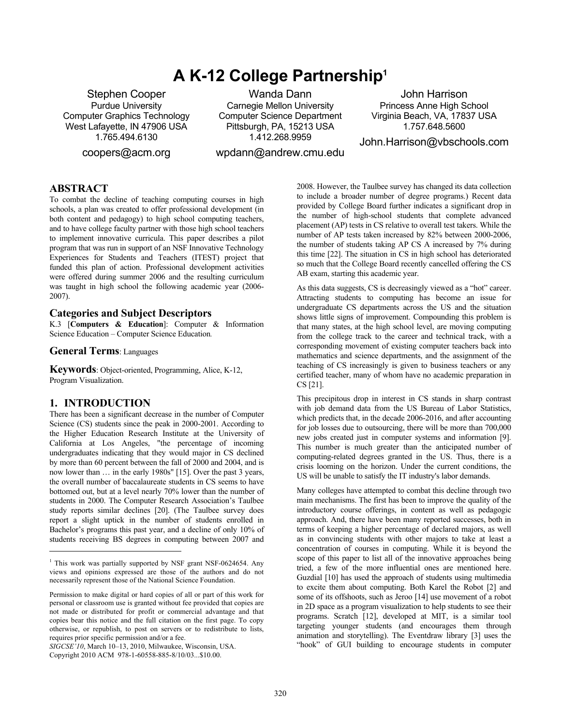# **A K-12 College Partnership1**

Stephen Cooper Purdue University Computer Graphics Technology West Lafayette, IN 47906 USA 1.765.494.6130

coopers@acm.org

Wanda Dann Carnegie Mellon University Computer Science Department Pittsburgh, PA, 15213 USA 1.412.268.9959

wpdann@andrew.cmu.edu

John Harrison Princess Anne High School Virginia Beach, VA, 17837 USA 1.757.648.5600

John.Harrison@vbschools.com

## **ABSTRACT**

To combat the decline of teaching computing courses in high schools, a plan was created to offer professional development (in both content and pedagogy) to high school computing teachers, and to have college faculty partner with those high school teachers to implement innovative curricula. This paper describes a pilot program that was run in support of an NSF Innovative Technology Experiences for Students and Teachers (ITEST) project that funded this plan of action. Professional development activities were offered during summer 2006 and the resulting curriculum was taught in high school the following academic year (2006-  $2007$ ).

#### **Categories and Subject Descriptors**

K.3 [**Computers & Education**]: Computer & Information Science Education – Computer Science Education*.* 

**General Terms**: Languages

**Keywords**: Object-oriented, Programming, Alice, K-12, Program Visualization.

#### **1. INTRODUCTION**

l

There has been a significant decrease in the number of Computer Science (CS) students since the peak in 2000-2001. According to the Higher Education Research Institute at the University of California at Los Angeles, "the percentage of incoming undergraduates indicating that they would major in CS declined by more than 60 percent between the fall of 2000 and 2004, and is now lower than … in the early 1980s" [15]. Over the past 3 years, the overall number of baccalaureate students in CS seems to have bottomed out, but at a level nearly 70% lower than the number of students in 2000. The Computer Research Association's Taulbee study reports similar declines [20]. (The Taulbee survey does report a slight uptick in the number of students enrolled in Bachelor's programs this past year, and a decline of only 10% of students receiving BS degrees in computing between 2007 and

*SIGCSE'10*, March 10–13, 2010, Milwaukee, Wisconsin, USA.

Copyright 2010 ACM 978-1-60558-885-8/10/03...\$10.00.

2008. However, the Taulbee survey has changed its data collection to include a broader number of degree programs.) Recent data provided by College Board further indicates a significant drop in the number of high-school students that complete advanced placement (AP) tests in CS relative to overall test takers. While the number of AP tests taken increased by 82% between 2000-2006, the number of students taking AP CS A increased by 7% during this time [22]. The situation in CS in high school has deteriorated so much that the College Board recently cancelled offering the CS AB exam, starting this academic year.

As this data suggests, CS is decreasingly viewed as a "hot" career. Attracting students to computing has become an issue for undergraduate CS departments across the US and the situation shows little signs of improvement. Compounding this problem is that many states, at the high school level, are moving computing from the college track to the career and technical track, with a corresponding movement of existing computer teachers back into mathematics and science departments, and the assignment of the teaching of CS increasingly is given to business teachers or any certified teacher, many of whom have no academic preparation in CS [21].

This precipitous drop in interest in CS stands in sharp contrast with job demand data from the US Bureau of Labor Statistics, which predicts that, in the decade 2006-2016, and after accounting for job losses due to outsourcing, there will be more than 700,000 new jobs created just in computer systems and information [9]. This number is much greater than the anticipated number of computing-related degrees granted in the US. Thus, there is a crisis looming on the horizon. Under the current conditions, the US will be unable to satisfy the IT industry's labor demands.

Many colleges have attempted to combat this decline through two main mechanisms. The first has been to improve the quality of the introductory course offerings, in content as well as pedagogic approach. And, there have been many reported successes, both in terms of keeping a higher percentage of declared majors, as well as in convincing students with other majors to take at least a concentration of courses in computing. While it is beyond the scope of this paper to list all of the innovative approaches being tried, a few of the more influential ones are mentioned here. Guzdial [10] has used the approach of students using multimedia to excite them about computing. Both Karel the Robot [2] and some of its offshoots, such as Jeroo [14] use movement of a robot in 2D space as a program visualization to help students to see their programs. Scratch [12], developed at MIT, is a similar tool targeting younger students (and encourages them through animation and storytelling). The Eventdraw library [3] uses the "hook" of GUI building to encourage students in computer

<sup>&</sup>lt;sup>1</sup> This work was partially supported by NSF grant NSF-0624654. Any views and opinions expressed are those of the authors and do not necessarily represent those of the National Science Foundation.

Permission to make digital or hard copies of all or part of this work for personal or classroom use is granted without fee provided that copies are not made or distributed for profit or commercial advantage and that copies bear this notice and the full citation on the first page. To copy otherwise, or republish, to post on servers or to redistribute to lists, requires prior specific permission and/or a fee.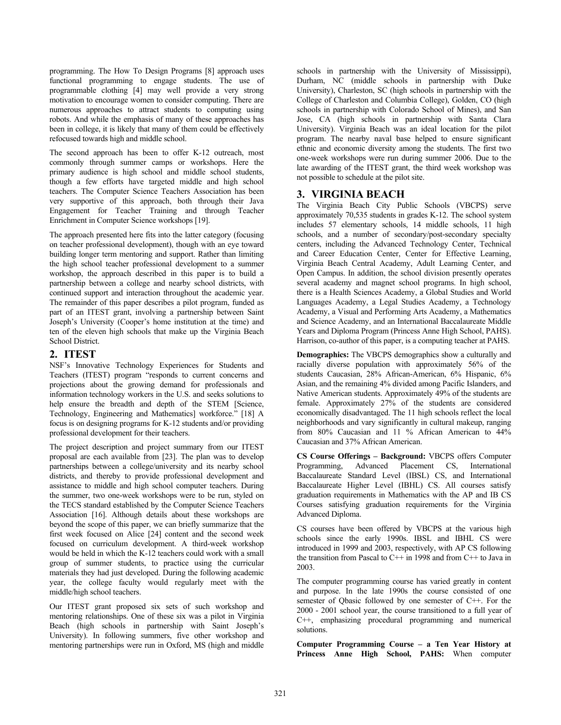programming. The How To Design Programs [8] approach uses functional programming to engage students. The use of programmable clothing [4] may well provide a very strong motivation to encourage women to consider computing. There are numerous approaches to attract students to computing using robots. And while the emphasis of many of these approaches has been in college, it is likely that many of them could be effectively refocused towards high and middle school.

The second approach has been to offer K-12 outreach, most commonly through summer camps or workshops. Here the primary audience is high school and middle school students, though a few efforts have targeted middle and high school teachers. The Computer Science Teachers Association has been very supportive of this approach, both through their Java Engagement for Teacher Training and through Teacher Enrichment in Computer Science workshops [19].

The approach presented here fits into the latter category (focusing on teacher professional development), though with an eye toward building longer term mentoring and support. Rather than limiting the high school teacher professional development to a summer workshop, the approach described in this paper is to build a partnership between a college and nearby school districts, with continued support and interaction throughout the academic year. The remainder of this paper describes a pilot program, funded as part of an ITEST grant, involving a partnership between Saint Joseph's University (Cooper's home institution at the time) and ten of the eleven high schools that make up the Virginia Beach School District.

## **2. ITEST**

NSF's Innovative Technology Experiences for Students and Teachers (ITEST) program "responds to current concerns and projections about the growing demand for professionals and information technology workers in the U.S. and seeks solutions to help ensure the breadth and depth of the STEM [Science, Technology, Engineering and Mathematics] workforce." [18] A focus is on designing programs for K-12 students and/or providing professional development for their teachers.

The project description and project summary from our ITEST proposal are each available from [23]. The plan was to develop partnerships between a college/university and its nearby school districts, and thereby to provide professional development and assistance to middle and high school computer teachers. During the summer, two one-week workshops were to be run, styled on the TECS standard established by the Computer Science Teachers Association [16]. Although details about these workshops are beyond the scope of this paper, we can briefly summarize that the first week focused on Alice [24] content and the second week focused on curriculum development. A third-week workshop would be held in which the K-12 teachers could work with a small group of summer students, to practice using the curricular materials they had just developed. During the following academic year, the college faculty would regularly meet with the middle/high school teachers.

Our ITEST grant proposed six sets of such workshop and mentoring relationships. One of these six was a pilot in Virginia Beach (high schools in partnership with Saint Joseph's University). In following summers, five other workshop and mentoring partnerships were run in Oxford, MS (high and middle

schools in partnership with the University of Mississippi), Durham, NC (middle schools in partnership with Duke University), Charleston, SC (high schools in partnership with the College of Charleston and Columbia College), Golden, CO (high schools in partnership with Colorado School of Mines), and San Jose, CA (high schools in partnership with Santa Clara University). Virginia Beach was an ideal location for the pilot program. The nearby naval base helped to ensure significant ethnic and economic diversity among the students. The first two one-week workshops were run during summer 2006. Due to the late awarding of the ITEST grant, the third week workshop was not possible to schedule at the pilot site.

## **3. VIRGINIA BEACH**

The Virginia Beach City Public Schools (VBCPS) serve approximately 70,535 students in grades K-12. The school system includes 57 elementary schools, 14 middle schools, 11 high schools, and a number of secondary/post-secondary specialty centers, including the Advanced Technology Center, Technical and Career Education Center, Center for Effective Learning, Virginia Beach Central Academy, Adult Learning Center, and Open Campus. In addition, the school division presently operates several academy and magnet school programs. In high school, there is a Health Sciences Academy, a Global Studies and World Languages Academy, a Legal Studies Academy, a Technology Academy, a Visual and Performing Arts Academy, a Mathematics and Science Academy, and an International Baccalaureate Middle Years and Diploma Program (Princess Anne High School, PAHS). Harrison, co-author of this paper, is a computing teacher at PAHS.

**Demographics:** The VBCPS demographics show a culturally and racially diverse population with approximately 56% of the students Caucasian, 28% African-American, 6% Hispanic, 6% Asian, and the remaining 4% divided among Pacific Islanders, and Native American students. Approximately 49% of the students are female. Approximately 27% of the students are considered economically disadvantaged. The 11 high schools reflect the local neighborhoods and vary significantly in cultural makeup, ranging from 80% Caucasian and 11 % African American to 44% Caucasian and 37% African American.

**CS Course Offerings – Background:** VBCPS offers Computer Programming, Advanced Placement CS, International Baccalaureate Standard Level (IBSL) CS, and International Baccalaureate Higher Level (IBHL) CS. All courses satisfy graduation requirements in Mathematics with the AP and IB CS Courses satisfying graduation requirements for the Virginia Advanced Diploma.

CS courses have been offered by VBCPS at the various high schools since the early 1990s. IBSL and IBHL CS were introduced in 1999 and 2003, respectively, with AP CS following the transition from Pascal to C++ in 1998 and from C++ to Java in 2003.

The computer programming course has varied greatly in content and purpose. In the late 1990s the course consisted of one semester of Qbasic followed by one semester of C++. For the 2000 - 2001 school year, the course transitioned to a full year of C++, emphasizing procedural programming and numerical solutions.

**Computer Programming Course – a Ten Year History at Princess Anne High School, PAHS:** When computer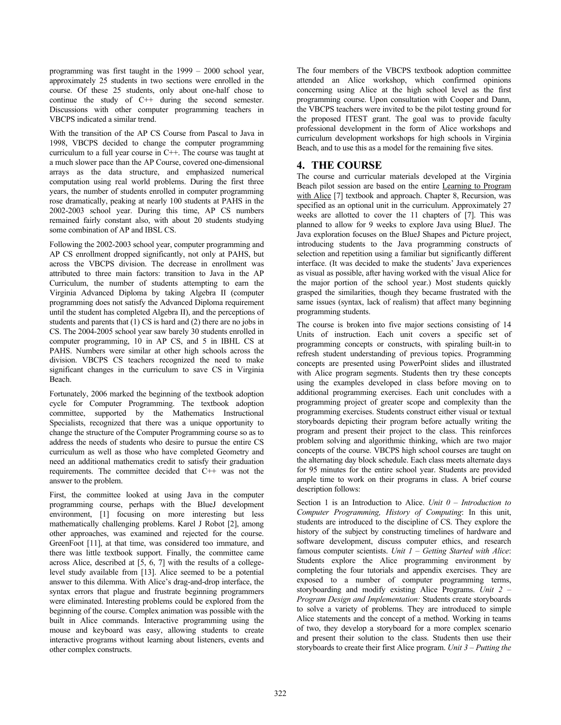programming was first taught in the 1999 – 2000 school year, approximately 25 students in two sections were enrolled in the course. Of these 25 students, only about one-half chose to continue the study of C++ during the second semester. Discussions with other computer programming teachers in VBCPS indicated a similar trend.

With the transition of the AP CS Course from Pascal to Java in 1998, VBCPS decided to change the computer programming curriculum to a full year course in C++. The course was taught at a much slower pace than the AP Course, covered one-dimensional arrays as the data structure, and emphasized numerical computation using real world problems. During the first three years, the number of students enrolled in computer programming rose dramatically, peaking at nearly 100 students at PAHS in the 2002-2003 school year. During this time, AP CS numbers remained fairly constant also, with about 20 students studying some combination of AP and IBSL CS.

Following the 2002-2003 school year, computer programming and AP CS enrollment dropped significantly, not only at PAHS, but across the VBCPS division. The decrease in enrollment was attributed to three main factors: transition to Java in the AP Curriculum, the number of students attempting to earn the Virginia Advanced Diploma by taking Algebra II (computer programming does not satisfy the Advanced Diploma requirement until the student has completed Algebra II), and the perceptions of students and parents that  $(1)$  CS is hard and  $(2)$  there are no jobs in CS. The 2004-2005 school year saw barely 30 students enrolled in computer programming, 10 in AP CS, and 5 in IBHL CS at PAHS. Numbers were similar at other high schools across the division. VBCPS CS teachers recognized the need to make significant changes in the curriculum to save CS in Virginia Beach.

Fortunately, 2006 marked the beginning of the textbook adoption cycle for Computer Programming. The textbook adoption committee, supported by the Mathematics Instructional Specialists, recognized that there was a unique opportunity to change the structure of the Computer Programming course so as to address the needs of students who desire to pursue the entire CS curriculum as well as those who have completed Geometry and need an additional mathematics credit to satisfy their graduation requirements. The committee decided that C++ was not the answer to the problem.

First, the committee looked at using Java in the computer programming course, perhaps with the BlueJ development environment, [1] focusing on more interesting but less mathematically challenging problems. Karel J Robot [2], among other approaches, was examined and rejected for the course. GreenFoot [11], at that time, was considered too immature, and there was little textbook support. Finally, the committee came across Alice, described at [5, 6, 7] with the results of a collegelevel study available from [13]. Alice seemed to be a potential answer to this dilemma. With Alice's drag-and-drop interface, the syntax errors that plague and frustrate beginning programmers were eliminated. Interesting problems could be explored from the beginning of the course. Complex animation was possible with the built in Alice commands. Interactive programming using the mouse and keyboard was easy, allowing students to create interactive programs without learning about listeners, events and other complex constructs.

The four members of the VBCPS textbook adoption committee attended an Alice workshop, which confirmed opinions concerning using Alice at the high school level as the first programming course. Upon consultation with Cooper and Dann, the VBCPS teachers were invited to be the pilot testing ground for the proposed ITEST grant. The goal was to provide faculty professional development in the form of Alice workshops and curriculum development workshops for high schools in Virginia Beach, and to use this as a model for the remaining five sites.

## **4. THE COURSE**

The course and curricular materials developed at the Virginia Beach pilot session are based on the entire Learning to Program with Alice [7] textbook and approach. Chapter 8, Recursion, was specified as an optional unit in the curriculum. Approximately 27 weeks are allotted to cover the 11 chapters of [7]. This was planned to allow for 9 weeks to explore Java using BlueJ. The Java exploration focuses on the BlueJ Shapes and Picture project, introducing students to the Java programming constructs of selection and repetition using a familiar but significantly different interface. (It was decided to make the students' Java experiences as visual as possible, after having worked with the visual Alice for the major portion of the school year.) Most students quickly grasped the similarities, though they became frustrated with the same issues (syntax, lack of realism) that affect many beginning programming students.

The course is broken into five major sections consisting of 14 Units of instruction. Each unit covers a specific set of programming concepts or constructs, with spiraling built-in to refresh student understanding of previous topics. Programming concepts are presented using PowerPoint slides and illustrated with Alice program segments. Students then try these concepts using the examples developed in class before moving on to additional programming exercises. Each unit concludes with a programming project of greater scope and complexity than the programming exercises. Students construct either visual or textual storyboards depicting their program before actually writing the program and present their project to the class. This reinforces problem solving and algorithmic thinking, which are two major concepts of the course. VBCPS high school courses are taught on the alternating day block schedule. Each class meets alternate days for 95 minutes for the entire school year. Students are provided ample time to work on their programs in class. A brief course description follows:

Section 1 is an Introduction to Alice. *Unit 0 – Introduction to Computer Programming, History of Computing*: In this unit, students are introduced to the discipline of CS. They explore the history of the subject by constructing timelines of hardware and software development, discuss computer ethics, and research famous computer scientists. *Unit 1 – Getting Started with Alice*: Students explore the Alice programming environment by completing the four tutorials and appendix exercises. They are exposed to a number of computer programming terms, storyboarding and modify existing Alice Programs. *Unit 2 – Program Design and Implementation:* Students create storyboards to solve a variety of problems. They are introduced to simple Alice statements and the concept of a method. Working in teams of two, they develop a storyboard for a more complex scenario and present their solution to the class. Students then use their storyboards to create their first Alice program. *Unit 3 – Putting the*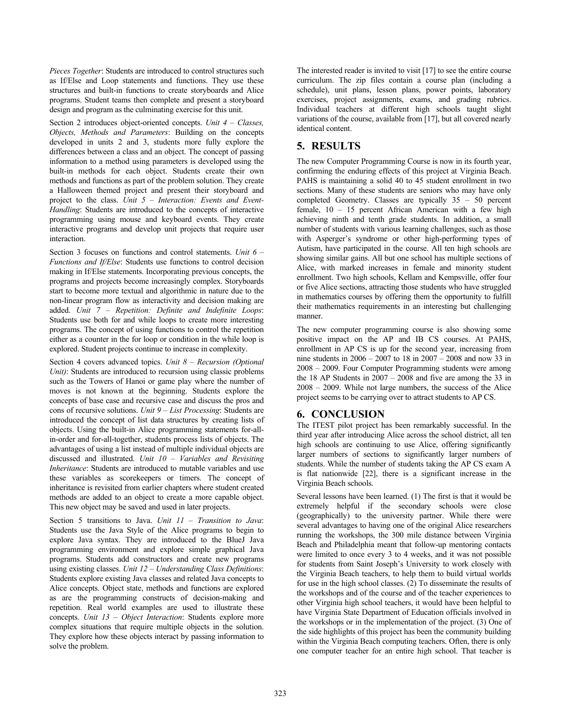*Pieces Together*: Students are introduced to control structures such as If/Else and Loop statements and functions. They use these structures and built-in functions to create storyboards and Alice programs. Student teams then complete and present a storyboard design and program as the culminating exercise for this unit.

Section 2 introduces object-oriented concepts. *Unit 4 – Classes, Objects, Methods and Parameters*: Building on the concepts developed in units 2 and 3, students more fully explore the differences between a class and an object. The concept of passing information to a method using parameters is developed using the built-in methods for each object. Students create their own methods and functions as part of the problem solution. They create a Halloween themed project and present their storyboard and project to the class. *Unit 5 – Interaction: Events and Event-Handling*: Students are introduced to the concepts of interactive programming using mouse and keyboard events. They create interactive programs and develop unit projects that require user interaction.

Section 3 focuses on functions and control statements. *Unit 6 – Functions and If/Else*: Students use functions to control decision making in If/Else statements. Incorporating previous concepts, the programs and projects become increasingly complex. Storyboards start to become more textual and algorithmic in nature due to the non-linear program flow as interactivity and decision making are added. *Unit 7 – Repetition: Definite and Indefinite Loops*: Students use both for and while loops to create more interesting programs. The concept of using functions to control the repetition either as a counter in the for loop or condition in the while loop is explored. Student projects continue to increase in complexity.

Section 4 covers advanced topics. *Unit 8 – Recursion (Optional Unit)*: Students are introduced to recursion using classic problems such as the Towers of Hanoi or game play where the number of moves is not known at the beginning. Students explore the concepts of base case and recursive case and discuss the pros and cons of recursive solutions. *Unit 9 – List Processing*: Students are introduced the concept of list data structures by creating lists of objects. Using the built-in Alice programming statements for-allin-order and for-all-together, students process lists of objects. The advantages of using a list instead of multiple individual objects are discussed and illustrated. *Unit 10 – Variables and Revisiting Inheritance*: Students are introduced to mutable variables and use these variables as scorekeepers or timers. The concept of inheritance is revisited from earlier chapters where student created methods are added to an object to create a more capable object. This new object may be saved and used in later projects.

Section 5 transitions to Java. *Unit 11 – Transition to Java*: Students use the Java Style of the Alice programs to begin to explore Java syntax. They are introduced to the BlueJ Java programming environment and explore simple graphical Java programs. Students add constructors and create new programs using existing classes. *Unit 12 – Understanding Class Definitions*: Students explore existing Java classes and related Java concepts to Alice concepts. Object state, methods and functions are explored as are the programming constructs of decision-making and repetition. Real world examples are used to illustrate these concepts. *Unit 13 – Object Interaction*: Students explore more complex situations that require multiple objects in the solution. They explore how these objects interact by passing information to solve the problem.

The interested reader is invited to visit [17] to see the entire course curriculum. The zip files contain a course plan (including a schedule), unit plans, lesson plans, power points, laboratory exercises, project assignments, exams, and grading rubrics. Individual teachers at different high schools taught slight variations of the course, available from [17], but all covered nearly identical content.

# **5. RESULTS**

The new Computer Programming Course is now in its fourth year, confirming the enduring effects of this project at Virginia Beach. PAHS is maintaining a solid 40 to 45 student enrollment in two sections. Many of these students are seniors who may have only completed Geometry. Classes are typically 35 – 50 percent female, 10 – 15 percent African American with a few high achieving ninth and tenth grade students. In addition, a small number of students with various learning challenges, such as those with Asperger's syndrome or other high-performing types of Autism, have participated in the course. All ten high schools are showing similar gains. All but one school has multiple sections of Alice, with marked increases in female and minority student enrollment. Two high schools, Kellam and Kempsville, offer four or five Alice sections, attracting those students who have struggled in mathematics courses by offering them the opportunity to fulfill their mathematics requirements in an interesting but challenging manner.

The new computer programming course is also showing some positive impact on the AP and IB CS courses. At PAHS, enrollment in AP CS is up for the second year, increasing from nine students in 2006 – 2007 to 18 in 2007 – 2008 and now 33 in 2008 – 2009. Four Computer Programming students were among the 18 AP Students in  $2007 - 2008$  and five are among the 33 in 2008 – 2009. While not large numbers, the success of the Alice project seems to be carrying over to attract students to AP CS.

# **6. CONCLUSION**

The ITEST pilot project has been remarkably successful. In the third year after introducing Alice across the school district, all ten high schools are continuing to use Alice, offering significantly larger numbers of sections to significantly larger numbers of students. While the number of students taking the AP CS exam A is flat nationwide [22], there is a significant increase in the Virginia Beach schools.

Several lessons have been learned. (1) The first is that it would be extremely helpful if the secondary schools were close (geographically) to the university partner. While there were several advantages to having one of the original Alice researchers running the workshops, the 300 mile distance between Virginia Beach and Philadelphia meant that follow-up mentoring contacts were limited to once every 3 to 4 weeks, and it was not possible for students from Saint Joseph's University to work closely with the Virginia Beach teachers, to help them to build virtual worlds for use in the high school classes. (2) To disseminate the results of the workshops and of the course and of the teacher experiences to other Virginia high school teachers, it would have been helpful to have Virginia State Department of Education officials involved in the workshops or in the implementation of the project. (3) One of the side highlights of this project has been the community building within the Virginia Beach computing teachers. Often, there is only one computer teacher for an entire high school. That teacher is